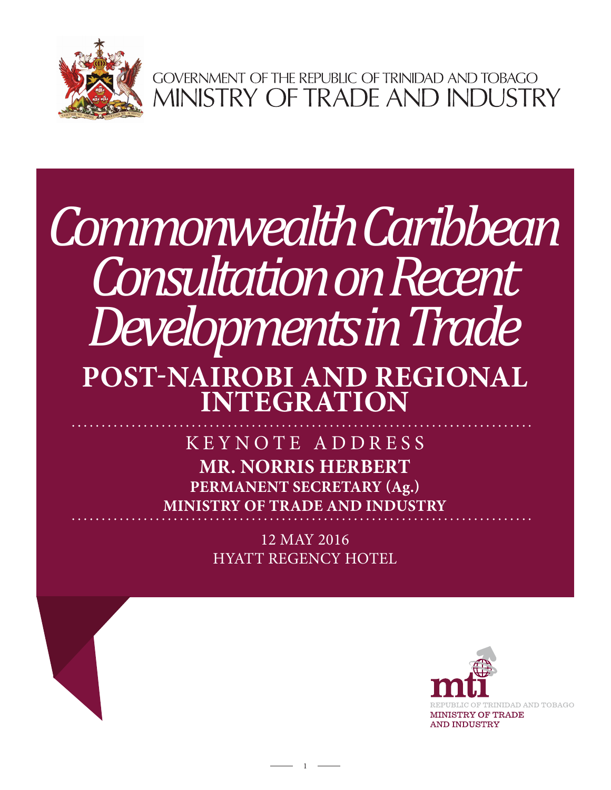

GOVERNMENT OF THE REPUBLIC OF TRINIDAD AND TOBAGO<br>MINISTRY OF TRADE AND INDUSTRY

## *Commonwealth Caribbean Consultation on Recent Developments in Trade* **POST-NAIROBI AND REGIONAL INTEGRATION**

**MR. NORRIS HERBERT PERMANENT SECRETARY (Ag.) MINISTRY OF TRADE AND INDUSTRY** KEYNOTE ADDRESS

> 12 MAY 2016 HYATT REGENCY HOTEL

> > 1

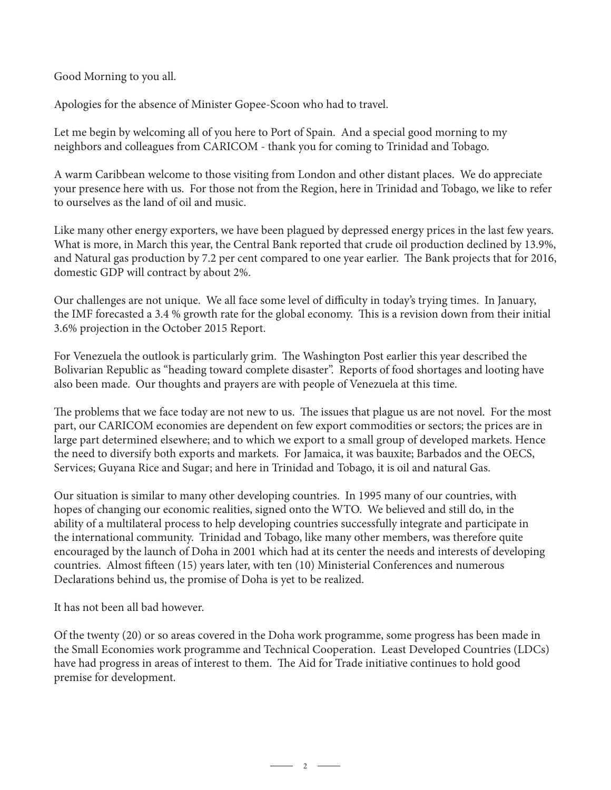Good Morning to you all.

Apologies for the absence of Minister Gopee-Scoon who had to travel.

Let me begin by welcoming all of you here to Port of Spain. And a special good morning to my neighbors and colleagues from CARICOM - thank you for coming to Trinidad and Tobago.

A warm Caribbean welcome to those visiting from London and other distant places. We do appreciate your presence here with us. For those not from the Region, here in Trinidad and Tobago, we like to refer to ourselves as the land of oil and music.

Like many other energy exporters, we have been plagued by depressed energy prices in the last few years. What is more, in March this year, the Central Bank reported that crude oil production declined by 13.9%, and Natural gas production by 7.2 per cent compared to one year earlier. The Bank projects that for 2016, domestic GDP will contract by about 2%.

Our challenges are not unique. We all face some level of difficulty in today's trying times. In January, the IMF forecasted a 3.4 % growth rate for the global economy. This is a revision down from their initial 3.6% projection in the October 2015 Report.

For Venezuela the outlook is particularly grim. The Washington Post earlier this year described the Bolivarian Republic as "heading toward complete disaster". Reports of food shortages and looting have also been made. Our thoughts and prayers are with people of Venezuela at this time.

The problems that we face today are not new to us. The issues that plague us are not novel. For the most part, our CARICOM economies are dependent on few export commodities or sectors; the prices are in large part determined elsewhere; and to which we export to a small group of developed markets. Hence the need to diversify both exports and markets. For Jamaica, it was bauxite; Barbados and the OECS, Services; Guyana Rice and Sugar; and here in Trinidad and Tobago, it is oil and natural Gas.

Our situation is similar to many other developing countries. In 1995 many of our countries, with hopes of changing our economic realities, signed onto the WTO. We believed and still do, in the ability of a multilateral process to help developing countries successfully integrate and participate in the international community. Trinidad and Tobago, like many other members, was therefore quite encouraged by the launch of Doha in 2001 which had at its center the needs and interests of developing countries. Almost fifteen (15) years later, with ten (10) Ministerial Conferences and numerous Declarations behind us, the promise of Doha is yet to be realized.

It has not been all bad however.

Of the twenty (20) or so areas covered in the Doha work programme, some progress has been made in the Small Economies work programme and Technical Cooperation. Least Developed Countries (LDCs) have had progress in areas of interest to them. The Aid for Trade initiative continues to hold good premise for development.

 $\overline{\phantom{a}}$  2  $\overline{\phantom{a}}$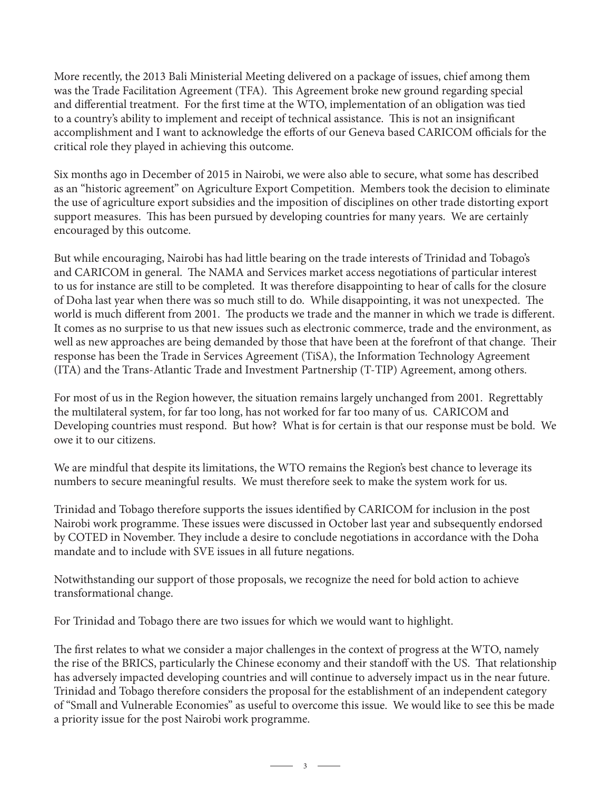More recently, the 2013 Bali Ministerial Meeting delivered on a package of issues, chief among them was the Trade Facilitation Agreement (TFA). This Agreement broke new ground regarding special and differential treatment. For the first time at the WTO, implementation of an obligation was tied to a country's ability to implement and receipt of technical assistance. This is not an insignificant accomplishment and I want to acknowledge the efforts of our Geneva based CARICOM officials for the critical role they played in achieving this outcome.

Six months ago in December of 2015 in Nairobi, we were also able to secure, what some has described as an "historic agreement" on Agriculture Export Competition. Members took the decision to eliminate the use of agriculture export subsidies and the imposition of disciplines on other trade distorting export support measures. This has been pursued by developing countries for many years. We are certainly encouraged by this outcome.

But while encouraging, Nairobi has had little bearing on the trade interests of Trinidad and Tobago's and CARICOM in general. The NAMA and Services market access negotiations of particular interest to us for instance are still to be completed. It was therefore disappointing to hear of calls for the closure of Doha last year when there was so much still to do. While disappointing, it was not unexpected. The world is much different from 2001. The products we trade and the manner in which we trade is different. It comes as no surprise to us that new issues such as electronic commerce, trade and the environment, as well as new approaches are being demanded by those that have been at the forefront of that change. Their response has been the Trade in Services Agreement (TiSA), the Information Technology Agreement (ITA) and the Trans-Atlantic Trade and Investment Partnership (T-TIP) Agreement, among others.

For most of us in the Region however, the situation remains largely unchanged from 2001. Regrettably the multilateral system, for far too long, has not worked for far too many of us. CARICOM and Developing countries must respond. But how? What is for certain is that our response must be bold. We owe it to our citizens.

We are mindful that despite its limitations, the WTO remains the Region's best chance to leverage its numbers to secure meaningful results. We must therefore seek to make the system work for us.

Trinidad and Tobago therefore supports the issues identified by CARICOM for inclusion in the post Nairobi work programme. These issues were discussed in October last year and subsequently endorsed by COTED in November. They include a desire to conclude negotiations in accordance with the Doha mandate and to include with SVE issues in all future negations.

Notwithstanding our support of those proposals, we recognize the need for bold action to achieve transformational change.

For Trinidad and Tobago there are two issues for which we would want to highlight.

The first relates to what we consider a major challenges in the context of progress at the WTO, namely the rise of the BRICS, particularly the Chinese economy and their standoff with the US. That relationship has adversely impacted developing countries and will continue to adversely impact us in the near future. Trinidad and Tobago therefore considers the proposal for the establishment of an independent category of "Small and Vulnerable Economies" as useful to overcome this issue. We would like to see this be made a priority issue for the post Nairobi work programme.

 $\overline{\phantom{1}}$  3  $\overline{\phantom{1}}$